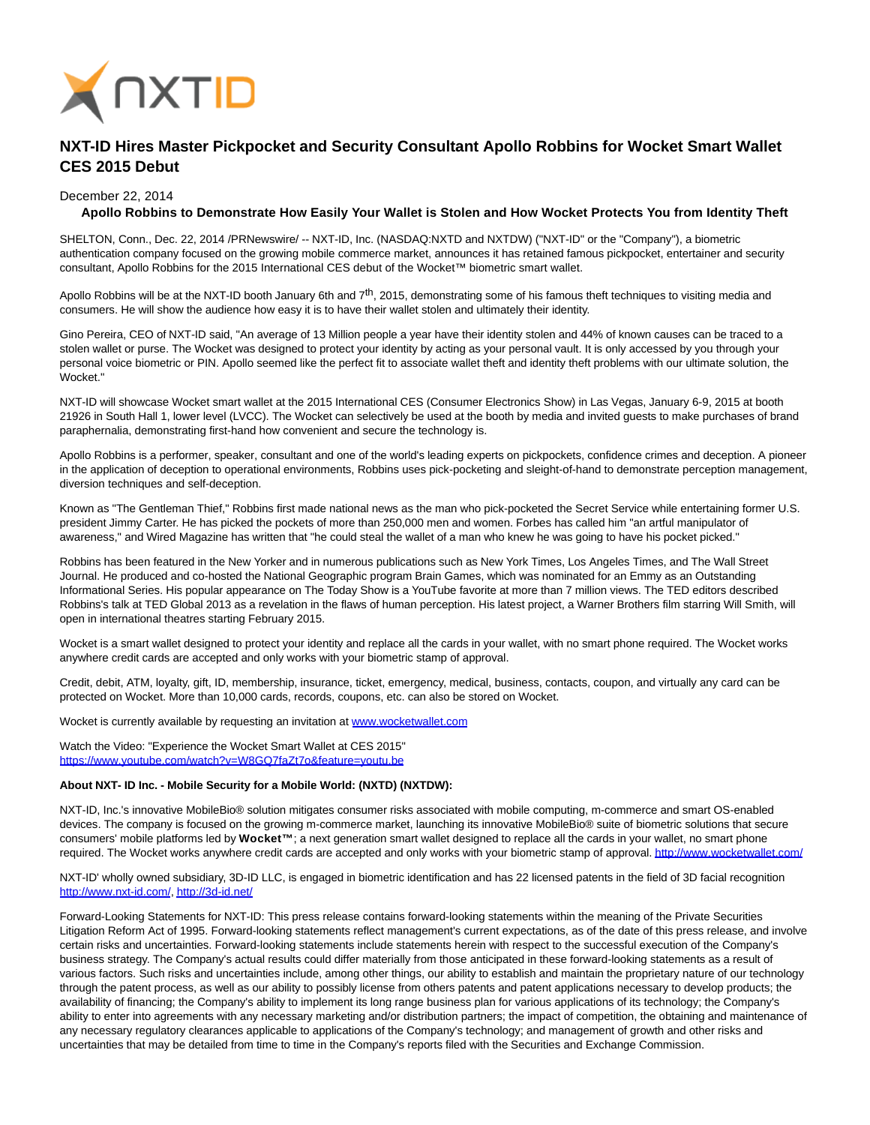

## **NXT-ID Hires Master Pickpocket and Security Consultant Apollo Robbins for Wocket Smart Wallet CES 2015 Debut**

## December 22, 2014

## **Apollo Robbins to Demonstrate How Easily Your Wallet is Stolen and How Wocket Protects You from Identity Theft**

SHELTON, Conn., Dec. 22, 2014 /PRNewswire/ -- NXT-ID, Inc. (NASDAQ:NXTD and NXTDW) ("NXT-ID" or the "Company"), a biometric authentication company focused on the growing mobile commerce market, announces it has retained famous pickpocket, entertainer and security consultant, Apollo Robbins for the 2015 International CES debut of the Wocket™ biometric smart wallet.

Apollo Robbins will be at the NXT-ID booth January 6th and  $7<sup>th</sup>$ , 2015, demonstrating some of his famous theft techniques to visiting media and consumers. He will show the audience how easy it is to have their wallet stolen and ultimately their identity.

Gino Pereira, CEO of NXT-ID said, "An average of 13 Million people a year have their identity stolen and 44% of known causes can be traced to a stolen wallet or purse. The Wocket was designed to protect your identity by acting as your personal vault. It is only accessed by you through your personal voice biometric or PIN. Apollo seemed like the perfect fit to associate wallet theft and identity theft problems with our ultimate solution, the Wocket."

NXT-ID will showcase Wocket smart wallet at the 2015 International CES (Consumer Electronics Show) in Las Vegas, January 6-9, 2015 at booth 21926 in South Hall 1, lower level (LVCC). The Wocket can selectively be used at the booth by media and invited guests to make purchases of brand paraphernalia, demonstrating first-hand how convenient and secure the technology is.

Apollo Robbins is a performer, speaker, consultant and one of the world's leading experts on pickpockets, confidence crimes and deception. A pioneer in the application of deception to operational environments, Robbins uses pick-pocketing and sleight-of-hand to demonstrate perception management, diversion techniques and self-deception.

Known as "The Gentleman Thief," Robbins first made national news as the man who pick-pocketed the Secret Service while entertaining former U.S. president Jimmy Carter. He has picked the pockets of more than 250,000 men and women. Forbes has called him "an artful manipulator of awareness," and Wired Magazine has written that "he could steal the wallet of a man who knew he was going to have his pocket picked."

Robbins has been featured in the New Yorker and in numerous publications such as New York Times, Los Angeles Times, and The Wall Street Journal. He produced and co-hosted the National Geographic program Brain Games, which was nominated for an Emmy as an Outstanding Informational Series. His popular appearance on The Today Show is a YouTube favorite at more than 7 million views. The TED editors described Robbins's talk at TED Global 2013 as a revelation in the flaws of human perception. His latest project, a Warner Brothers film starring Will Smith, will open in international theatres starting February 2015.

Wocket is a smart wallet designed to protect your identity and replace all the cards in your wallet, with no smart phone required. The Wocket works anywhere credit cards are accepted and only works with your biometric stamp of approval.

Credit, debit, ATM, loyalty, gift, ID, membership, insurance, ticket, emergency, medical, business, contacts, coupon, and virtually any card can be protected on Wocket. More than 10,000 cards, records, coupons, etc. can also be stored on Wocket.

Wocket is currently available by requesting an invitation at [www.wocketwallet.com](http://www.wocketwallet.com/)

Watch the Video: "Experience the Wocket Smart Wallet at CES 2015" <https://www.youtube.com/watch?v=W8GQ7faZt7o&feature=youtu.be>

## **About NXT- ID Inc. - Mobile Security for a Mobile World: (NXTD) (NXTDW):**

NXT-ID, Inc.'s innovative MobileBio® solution mitigates consumer risks associated with mobile computing, m-commerce and smart OS-enabled devices. The company is focused on the growing m-commerce market, launching its innovative MobileBio® suite of biometric solutions that secure consumers' mobile platforms led by **Wocket™** ; a next generation smart wallet designed to replace all the cards in your wallet, no smart phone required. The Wocket works anywhere credit cards are accepted and only works with your biometric stamp of approval[. http://www.wocketwallet.com/](http://www.wocketwallet.com/)

NXT-ID' wholly owned subsidiary, 3D-ID LLC, is engaged in biometric identification and has 22 licensed patents in the field of 3D facial recognition [http://www.nxt-id.com/,](http://www.nxt-id.com/)<http://3d-id.net/>

Forward-Looking Statements for NXT-ID: This press release contains forward-looking statements within the meaning of the Private Securities Litigation Reform Act of 1995. Forward-looking statements reflect management's current expectations, as of the date of this press release, and involve certain risks and uncertainties. Forward-looking statements include statements herein with respect to the successful execution of the Company's business strategy. The Company's actual results could differ materially from those anticipated in these forward-looking statements as a result of various factors. Such risks and uncertainties include, among other things, our ability to establish and maintain the proprietary nature of our technology through the patent process, as well as our ability to possibly license from others patents and patent applications necessary to develop products; the availability of financing; the Company's ability to implement its long range business plan for various applications of its technology; the Company's ability to enter into agreements with any necessary marketing and/or distribution partners; the impact of competition, the obtaining and maintenance of any necessary regulatory clearances applicable to applications of the Company's technology; and management of growth and other risks and uncertainties that may be detailed from time to time in the Company's reports filed with the Securities and Exchange Commission.